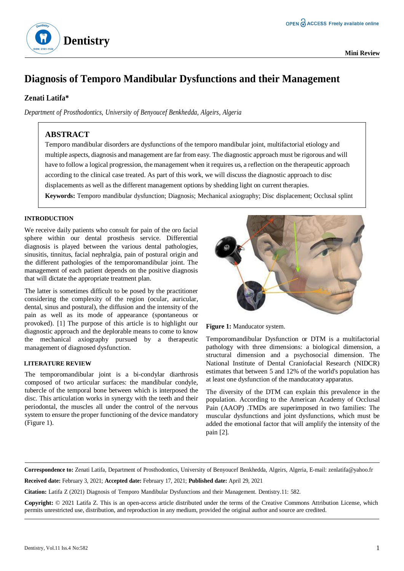

# **Diagnosis of Temporo Mandibular Dysfunctions and their Management**

### **Zenati Latifa\***

*Department of Prosthodontics, University of Benyoucef Benkhedda, Algeirs, Algeria*

# **ABSTRACT**

Temporo mandibular disorders are dysfunctions of the temporo mandibular joint, multifactorial etiology and multiple aspects, diagnosis and management are far from easy. The diagnostic approach must be rigorous and will have to follow a logical progression, the management when it requires us, a reflection on the therapeutic approach according to the clinical case treated. As part of this work, we will discuss the diagnostic approach to disc displacements as well as the different management options by shedding light on current therapies.

**Keywords:** Temporo mandibular dysfunction; Diagnosis; Mechanical axiography; Disc displacement; Occlusal splint

#### **INTRODUCTION**

We receive daily patients who consult for pain of the oro facial sphere within our dental prosthesis service. Differential diagnosis is played between the various dental pathologies, sinusitis, tinnitus, facial nephralgia, pain of postural origin and the different pathologies of the temporomandibular joint. The management of each patient depends on the positive diagnosis that will dictate the appropriate treatment plan.

The latter is sometimes difficult to be posed by the practitioner considering the complexity of the region (ocular, auricular, dental, sinus and postural), the diffusion and the intensity of the pain as well as its mode of appearance (spontaneous or provoked). [1] The purpose of this article is to highlight our diagnostic approach and the deplorable means to come to know the mechanical axiography pursued by a therapeutic management of diagnosed dysfunction.

#### **LITERATURE REVIEW**

The temporomandibular joint is a bi-condylar diarthrosis composed of two articular surfaces: the mandibular condyle, tubercle of the temporal bone between which is interposed the disc. This articulation works in synergy with the teeth and their periodontal, the muscles all under the control of the nervous system to ensure the proper functioning of the device mandatory (Figure 1).





Temporomandibular Dysfunction or DTM is a multifactorial pathology with three dimensions: a biological dimension, a structural dimension and a psychosocial dimension. The National Institute of Dental Craniofacial Research (NIDCR) estimates that between 5 and 12% of the world's population has at least one dysfunction of the manducatory apparatus.

The diversity of the DTM can explain this prevalence in the population. According to the American Academy of Occlusal Pain (AAOP) .TMDs are superimposed in two families: The muscular dysfunctions and joint dysfunctions, which must be added the emotional factor that will amplify the intensity of the pain [2].

**Correspondence to:** Zenati Latifa, Department of Prosthodontics, University of Benyoucef Benkhedda, Algeirs, Algeria, E-mail: [zenlatifa@yahoo.fr](mailto:zenlatifa@yahoo.fr)

**Received date:** February 3, 2021; **Accepted date:** February 17, 2021; **Published date:** April 29, 2021

**Citation:** Latifa Z (2021) Diagnosis of Temporo Mandibular Dysfunctions and their Management. Dentistry.11: 582.

**Copyright:** © 2021 Latifa Z. This is an open-access article distributed under the terms of the Creative Commons Attribution License, which permits unrestricted use, distribution, and reproduction in any medium, provided the original author and source are credited.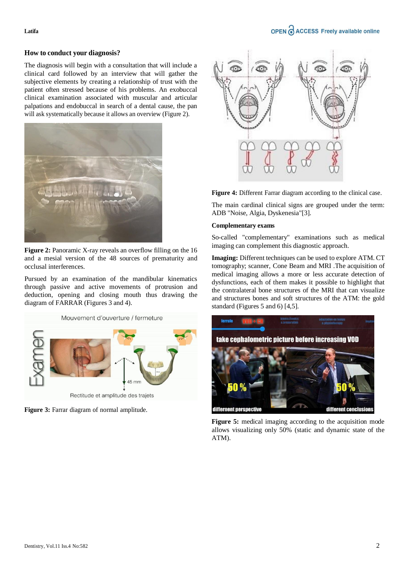## OPEN C ACCESS Freely available online

#### **Latifa**

#### **How to conduct your diagnosis?**

The diagnosis will begin with a consultation that will include a clinical card followed by an interview that will gather the subjective elements by creating a relationship of trust with the patient often stressed because of his problems. An exobuccal clinical examination associated with muscular and articular palpations and endobuccal in search of a dental cause, the pan will ask systematically because it allows an overview (Figure 2).



**Figure 2:** Panoramic X-ray reveals an overflow filling on the 16 and a mesial version of the 48 sources of prematurity and occlusal interferences.

Pursued by an examination of the mandibular kinematics through passive and active movements of protrusion and deduction, opening and closing mouth thus drawing the diagram of FARRAR (Figures 3 and 4).







**Figure 4:** Different Farrar diagram according to the clinical case.

The main cardinal clinical signs are grouped under the term: ADB "Noise, Algia, Dyskenesia"[3].

#### **Complementary exams**

So-called "complementary" examinations such as medical imaging can complement this diagnostic approach.

**Imaging:** Different techniques can be used to explore ATM. CT tomography; scanner, Cone Beam and MRI .The acquisition of medical imaging allows a more or less accurate detection of dysfunctions, each of them makes it possible to highlight that the contralateral bone structures of the MRI that can visualize and structures bones and soft structures of the ATM: the gold standard (Figures 5 and 6) [4,5].



Figure 5: medical imaging according to the acquisition mode allows visualizing only 50% (static and dynamic state of the ATM).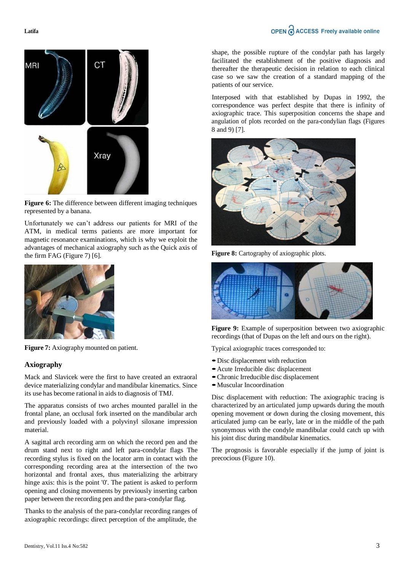**Latifa** 



Figure 6: The difference between different imaging techniques represented by a banana.

Unfortunately we can't address our patients for MRI of the ATM, in medical terms patients are more important for magnetic resonance examinations, which is why we exploit the advantages of mechanical axiography such as the Quick axis of the firm FAG (Figure 7) [6].



**Figure 7:** Axiography mounted on patient.

#### **Axiography**

Mack and Slavicek were the first to have created an extraoral device materializing condylar and mandibular kinematics. Since its use has become rational in aids to diagnosis of TMJ.

The apparatus consists of two arches mounted parallel in the frontal plane, an occlusal fork inserted on the mandibular arch and previously loaded with a polyvinyl siloxane impression material.

A sagittal arch recording arm on which the record pen and the drum stand next to right and left para-condylar flags The recording stylus is fixed on the locator arm in contact with the corresponding recording area at the intersection of the two horizontal and frontal axes, thus materializing the arbitrary hinge axis: this is the point '0'. The patient is asked to perform opening and closing movements by previously inserting carbon paper between the recording pen and the para-condylar flag.

Thanks to the analysis of the para-condylar recording ranges of axiographic recordings: direct perception of the amplitude, the

shape, the possible rupture of the condylar path has largely facilitated the establishment of the positive diagnosis and thereafter the therapeutic decision in relation to each clinical case so we saw the creation of a standard mapping of the patients of our service.

Interposed with that established by Dupas in 1992, the correspondence was perfect despite that there is infinity of axiographic trace. This superposition concerns the shape and angulation of plots recorded on the para-condylian flags (Figures 8 and 9) [7].



**Figure 8:** Cartography of axiographic plots.



Figure 9: Example of superposition between two axiographic recordings (that of Dupas on the left and ours on the right).

Typical axiographic traces corresponded to:

- **•**Disc displacement with reduction
- **•**Acute Irreducible disc displacement
- **•**Chronic Irreducible disc displacement
- **•**Muscular Incoordination

Disc displacement with reduction: The axiographic tracing is characterized by an articulated jump upwards during the mouth opening movement or down during the closing movement, this articulated jump can be early, late or in the middle of the path synonymous with the condyle mandibular could catch up with his joint disc during mandibular kinematics.

The prognosis is favorable especially if the jump of joint is precocious (Figure 10).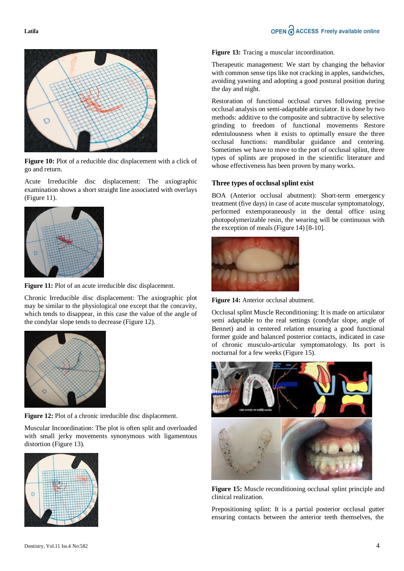

**Figure 10:** Plot of a reducible disc displacement with a click of go and return.

Acute Irreducible disc displacement: The axiographic examination shows a short straight line associated with overlays (Figure 11).



**Figure 11:** Plot of an acute irreducible disc displacement.

Chronic Irreducible disc displacement: The axiographic plot may be similar to the physiological one except that the concavity, which tends to disappear, in this case the value of the angle of the condylar slope tends to decrease (Figure 12).



**Figure 12:** Plot of a chronic irreducible disc displacement.

Muscular Incoordination: The plot is often split and overloaded with small jerky movements synonymous with ligamentous distortion (Figure 13).



**Figure 13:** Tracing a muscular incoordination.

Therapeutic management: We start by changing the behavior with common sense tips like not cracking in apples, sandwiches, avoiding yawning and adopting a good postural position during the day and night.

Restoration of functional occlusal curves following precise occlusal analysis on semi-adaptable articulator. It is done by two methods: additive to the composite and subtractive by selective grinding to freedom of functional movements Restore edentulousness when it exists to optimally ensure the three occlusal functions: mandibular guidance and centering. Sometimes we have to move to the port of occlusal splint, three types of splints are proposed in the scientific literature and whose effectiveness has been proven by many works.

#### **Three types of occlusal splint exist**

BOA (Anterior occlusal abutment): Short-term emergency treatment (five days) in case of acute muscular symptomatology, performed extemporaneously in the dental office using photopolymerizable resin, the wearing will be continuous with the exception of meals (Figure 14) [8-10].



**Figure 14:** Anterior occlusal abutment.

Occlusal splint Muscle Reconditioning: It is made on articulator semi adaptable to the real settings (condylar slope, angle of Bennet) and in centered relation ensuring a good functional former guide and balanced posterior contacts, indicated in case of chronic musculo-articular symptomatology. Its port is nocturnal for a few weeks (Figure 15).



**Figure 15:** Muscle reconditioning occlusal splint principle and clinical realization.

Prepositioning splint: It is a partial posterior occlusal gutter ensuring contacts between the anterior teeth themselves, the